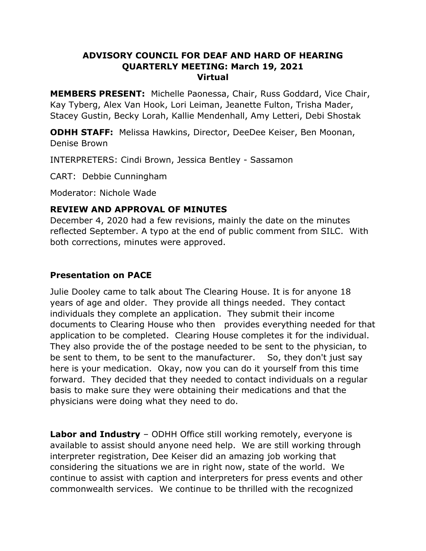### **ADVISORY COUNCIL FOR DEAF AND HARD OF HEARING QUARTERLY MEETING: March 19, 2021 Virtual**

**MEMBERS PRESENT:** Michelle Paonessa, Chair, Russ Goddard, Vice Chair, Kay Tyberg, Alex Van Hook, Lori Leiman, Jeanette Fulton, Trisha Mader, Stacey Gustin, Becky Lorah, Kallie Mendenhall, Amy Letteri, Debi Shostak

**ODHH STAFF:** Melissa Hawkins, Director, DeeDee Keiser, Ben Moonan, Denise Brown

INTERPRETERS: Cindi Brown, Jessica Bentley - Sassamon

CART: Debbie Cunningham

Moderator: Nichole Wade

### **REVIEW AND APPROVAL OF MINUTES**

December 4, 2020 had a few revisions, mainly the date on the minutes reflected September. A typo at the end of public comment from SILC. With both corrections, minutes were approved.

### **Presentation on PACE**

Julie Dooley came to talk about The Clearing House. It is for anyone 18 years of age and older. They provide all things needed. They contact individuals they complete an application. They submit their income documents to Clearing House who then provides everything needed for that application to be completed. Clearing House completes it for the individual. They also provide the of the postage needed to be sent to the physician, to be sent to them, to be sent to the manufacturer. So, they don't just say here is your medication. Okay, now you can do it yourself from this time forward. They decided that they needed to contact individuals on a regular basis to make sure they were obtaining their medications and that the physicians were doing what they need to do.

**Labor and Industry** – ODHH Office still working remotely, everyone is available to assist should anyone need help. We are still working through interpreter registration, Dee Keiser did an amazing job working that considering the situations we are in right now, state of the world. We continue to assist with caption and interpreters for press events and other commonwealth services. We continue to be thrilled with the recognized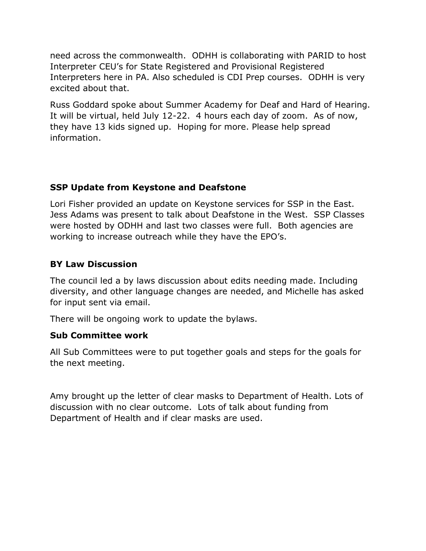need across the commonwealth. ODHH is collaborating with PARID to host Interpreter CEU's for State Registered and Provisional Registered Interpreters here in PA. Also scheduled is CDI Prep courses. ODHH is very excited about that.

Russ Goddard spoke about Summer Academy for Deaf and Hard of Hearing. It will be virtual, held July 12-22. 4 hours each day of zoom. As of now, they have 13 kids signed up. Hoping for more. Please help spread information.

# **SSP Update from Keystone and Deafstone**

Lori Fisher provided an update on Keystone services for SSP in the East. Jess Adams was present to talk about Deafstone in the West. SSP Classes were hosted by ODHH and last two classes were full. Both agencies are working to increase outreach while they have the EPO's.

## **BY Law Discussion**

The council led a by laws discussion about edits needing made. Including diversity, and other language changes are needed, and Michelle has asked for input sent via email.

There will be ongoing work to update the bylaws.

## **Sub Committee work**

All Sub Committees were to put together goals and steps for the goals for the next meeting.

Amy brought up the letter of clear masks to Department of Health. Lots of discussion with no clear outcome. Lots of talk about funding from Department of Health and if clear masks are used.